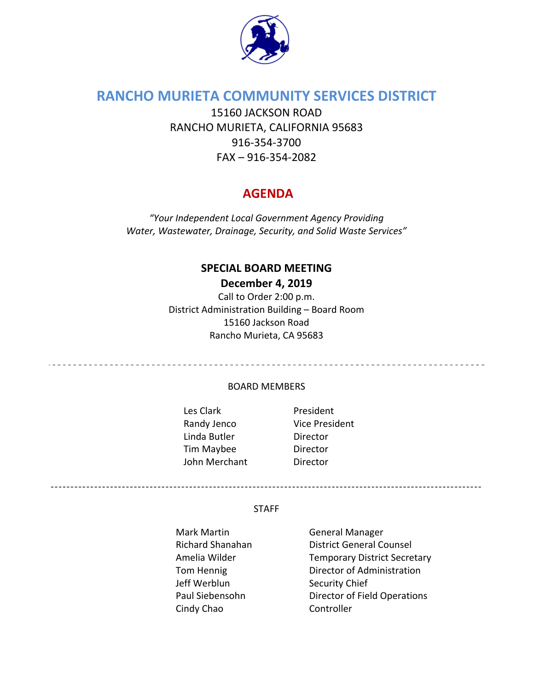

## **RANCHO MURIETA COMMUNITY SERVICES DISTRICT**

15160 JACKSON ROAD RANCHO MURIETA, CALIFORNIA 95683 916‐354‐3700 FAX – 916‐354‐2082

## **AGENDA**

*"Your Independent Local Government Agency Providing Water, Wastewater, Drainage, Security, and Solid Waste Services"*

## **SPECIAL BOARD MEETING December 4, 2019**

Call to Order 2:00 p.m. District Administration Building – Board Room 15160 Jackson Road Rancho Murieta, CA 95683

<u>......................</u>

#### BOARD MEMBERS

Les Clark **Breadent** Randy Jenco Vice President Linda Butler **Director** Tim Maybee Director John Merchant **Director** 

#### STAFF

Mark Martin **Canadia** General Manager Jeff Werblun Security Chief Cindy Chao Controller

Richard Shanahan District General Counsel Amelia Wilder Temporary District Secretary Tom Hennig Director of Administration Paul Siebensohn Director of Field Operations

-------------------------------------------------------------------------------------------------------------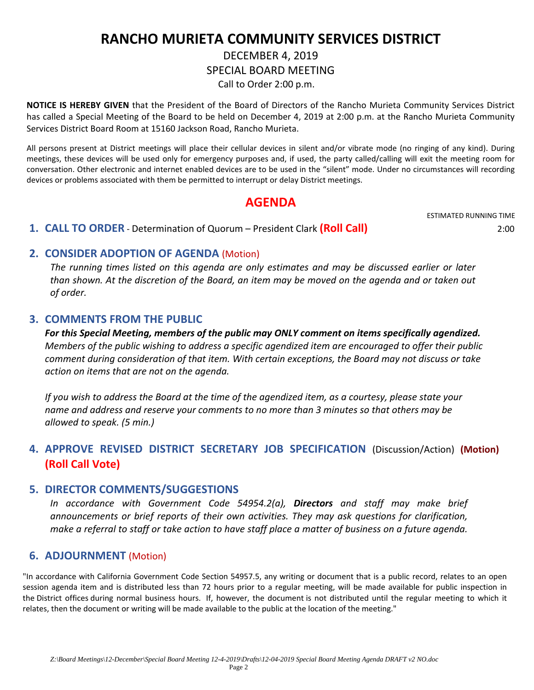# **RANCHO MURIETA COMMUNITY SERVICES DISTRICT**

# DECEMBER 4, 2019 SPECIAL BOARD MEETING

Call to Order 2:00 p.m.

**NOTICE IS HEREBY GIVEN** that the President of the Board of Directors of the Rancho Murieta Community Services District has called a Special Meeting of the Board to be held on December 4, 2019 at 2:00 p.m. at the Rancho Murieta Community Services District Board Room at 15160 Jackson Road, Rancho Murieta.

All persons present at District meetings will place their cellular devices in silent and/or vibrate mode (no ringing of any kind). During meetings, these devices will be used only for emergency purposes and, if used, the party called/calling will exit the meeting room for conversation. Other electronic and internet enabled devices are to be used in the "silent" mode. Under no circumstances will recording devices or problems associated with them be permitted to interrupt or delay District meetings.

## **AGENDA**

#### **1. CALL TO ORDER** ‐ Determination of Quorum – President Clark **(Roll Call)** 2:00

ESTIMATED RUNNING TIME

### **2. CONSIDER ADOPTION OF AGENDA** (Motion)

*The running times listed on this agenda are only estimates and may be discussed earlier or later* than shown. At the discretion of the Board, an item may be moved on the agenda and or taken out *of order.*

#### **3. COMMENTS FROM THE PUBLIC**

*For this Special Meeting, members of the public may ONLY comment on items specifically agendized. Members of the public wishing to address a specific agendized item are encouraged to offer their public comment during consideration of that item. With certain exceptions, the Board may not discuss or take action on items that are not on the agenda.*

If you wish to address the Board at the time of the agendized item, as a courtesy, please state your *name and address and reserve your comments to no more than 3 minutes so that others may be allowed to speak. (5 min.)* 

## **4. APPROVE REVISED DISTRICT SECRETARY JOB SPECIFICATION** (Discussion/Action) **(Motion) (Roll Call Vote)**

#### **5. DIRECTOR COMMENTS/SUGGESTIONS**

*In accordance with Government Code 54954.2(a), Directors and staff may make brief announcements or brief reports of their own activities. They may ask questions for clarification,* make a referral to staff or take action to have staff place a matter of business on a future agenda.

### **6. ADJOURNMENT** (Motion)

"In accordance with California Government Code Section 54957.5, any writing or document that is a public record, relates to an open session agenda item and is distributed less than 72 hours prior to a regular meeting, will be made available for public inspection in the District offices during normal business hours. If, however, the document is not distributed until the regular meeting to which it relates, then the document or writing will be made available to the public at the location of the meeting."